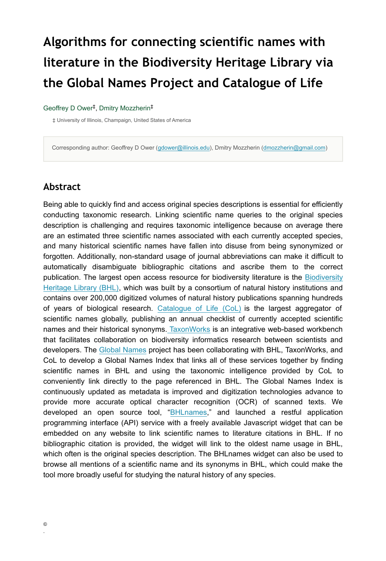# **Algorithms for connecting scientific names with literature in the Biodiversity Heritage Library via the Global Names Project and Catalogue of Life**

#### Geoffrey D Ower<sup>‡</sup>, Dmitry Mozzherin<sup>‡</sup>

‡ University of Illinois, Champaign, United States of America

Corresponding author: Geoffrey D Ower [\(gdower@illinois.edu\)](mailto:gdower@illinois.edu), Dmitry Mozzherin ([dmozzherin@gmail.com](mailto:dmozzherin@gmail.com))

#### **Abstract**

Being able to quickly find and access original species descriptions is essential for efficiently conducting taxonomic research. Linking scientific name queries to the original species description is challenging and requires taxonomic intelligence because on average there are an estimated three scientific names associated with each currently accepted species, and many historical scientific names have fallen into disuse from being synonymized or forgotten. Additionally, non-standard usage of journal abbreviations can make it difficult to automatically disambiguate bibliographic citations and ascribe them to the correct publication. The largest open access resource for biodiversity literature is the [Biodiversity](https://www.biodiversitylibrary.org/) [Heritage Library \(BHL\),](https://www.biodiversitylibrary.org/) which was built by a consortium of natural history institutions and contains over 200,000 digitized volumes of natural history publications spanning hundreds of years of biological research. [Catalogue of Life \(CoL\)](https://www.catalogueoflife.org/) is the largest aggregator of scientific names globally, publishing an annual checklist of currently accepted scientific names and their historical synonyms. [TaxonWorks](http://taxonworks.org/) is an integrative web-based workbench that facilitates collaboration on biodiversity informatics research between scientists and developers. The [Global Names](https://globalnames.org/) project has been collaborating with BHL, TaxonWorks, and CoL to develop a Global Names Index that links all of these services together by finding scientific names in BHL and using the taxonomic intelligence provided by CoL to conveniently link directly to the page referenced in BHL. The Global Names Index is continuously updated as metadata is improved and digitization technologies advance to provide more accurate optical character recognition (OCR) of scanned texts. We developed an open source tool, ["BHLnames,](https://github.com/gnames/bhlnames)" and launched a restful application programming interface (API) service with a freely available Javascript widget that can be embedded on any website to link scientific names to literature citations in BHL. If no bibliographic citation is provided, the widget will link to the oldest name usage in BHL, which often is the original species description. The BHLnames widget can also be used to browse all mentions of a scientific name and its synonyms in BHL, which could make the tool more broadly useful for studying the natural history of any species.